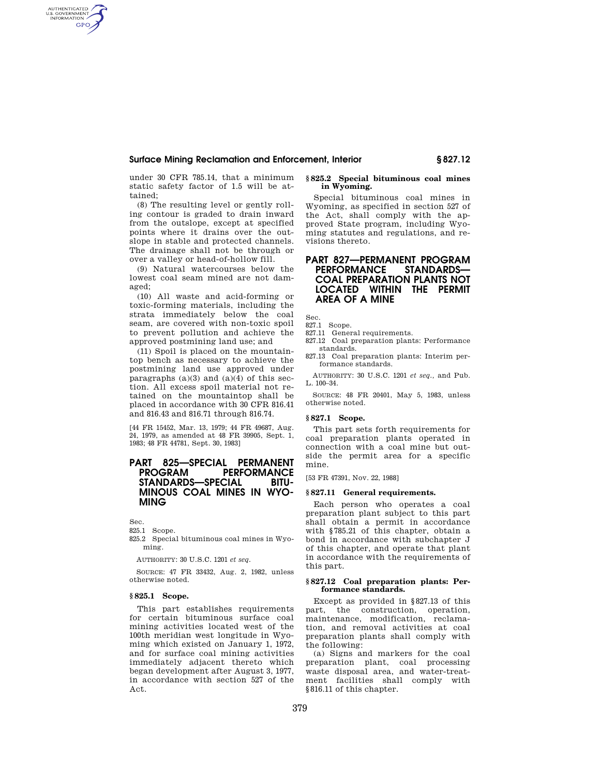## **Surface Mining Reclamation and Enforcement, Interior § 827.12**

under 30 CFR 785.14, that a minimum static safety factor of 1.5 will be attained;

(8) The resulting level or gently rolling contour is graded to drain inward from the outslope, except at specified points where it drains over the outslope in stable and protected channels. The drainage shall not be through or over a valley or head-of-hollow fill.

(9) Natural watercourses below the lowest coal seam mined are not damaged;

(10) All waste and acid-forming or toxic-forming materials, including the strata immediately below the coal seam, are covered with non-toxic spoil to prevent pollution and achieve the approved postmining land use; and

(11) Spoil is placed on the mountaintop bench as necessary to achieve the postmining land use approved under paragraphs  $(a)(3)$  and  $(a)(4)$  of this section. All excess spoil material not retained on the mountaintop shall be placed in accordance with 30 CFR 816.41 and 816.43 and 816.71 through 816.74.

[44 FR 15452, Mar. 13, 1979; 44 FR 49687, Aug. 24, 1979, as amended at 48 FR 39905, Sept. 1, 1983; 48 FR 44781, Sept. 30, 1983]

# **PART 825—SPECIAL PERMANENT PERFORMANCE**<br>CIAL BITU-STANDARDS-SPECIAL **MINOUS COAL MINES IN WYO-MING**

Sec.

AUTHENTICATED<br>U.S. GOVERNMENT<br>INFORMATION **GPO** 

825.1 Scope.

825.2 Special bituminous coal mines in Wyoming.

AUTHORITY: 30 U.S.C. 1201 *et seq.* 

SOURCE: 47 FR 33432, Aug. 2, 1982, unless otherwise noted.

### **§ 825.1 Scope.**

This part establishes requirements for certain bituminous surface coal mining activities located west of the 100th meridian west longitude in Wyoming which existed on January 1, 1972, and for surface coal mining activities immediately adjacent thereto which began development after August 3, 1977, in accordance with section 527 of the Act.

### **§ 825.2 Special bituminous coal mines in Wyoming.**

Special bituminous coal mines in Wyoming, as specified in section 527 of the Act, shall comply with the approved State program, including Wyoming statutes and regulations, and revisions thereto.

# **PART 827—PERMANENT PROGRAM PERFORMANCE COAL PREPARATION PLANTS NOT LOCATED WITHIN THE PERMIT AREA OF A MINE**

Sec.

- 827.1 Scope.
- 827.11 General requirements.
- 827.12 Coal preparation plants: Performance standards.
- 827.13 Coal preparation plants: Interim performance standards.

AUTHORITY: 30 U.S.C. 1201 *et seq.,* and Pub. L. 100–34.

SOURCE: 48 FR 20401, May 5, 1983, unless otherwise noted.

## **§ 827.1 Scope.**

This part sets forth requirements for coal preparation plants operated in connection with a coal mine but outside the permit area for a specific mine.

[53 FR 47391, Nov. 22, 1988]

#### **§ 827.11 General requirements.**

Each person who operates a coal preparation plant subject to this part shall obtain a permit in accordance with §785.21 of this chapter, obtain a bond in accordance with subchapter J of this chapter, and operate that plant in accordance with the requirements of this part.

#### **§ 827.12 Coal preparation plants: Performance standards.**

Except as provided in §827.13 of this part, the construction, operation, maintenance, modification, reclamation, and removal activities at coal preparation plants shall comply with the following:

(a) Signs and markers for the coal preparation plant, coal processing waste disposal area, and water-treatment facilities shall comply with §816.11 of this chapter.